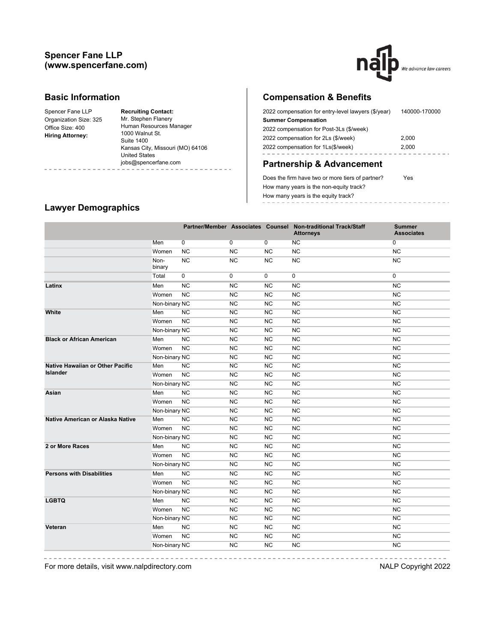## **Spencer Fane LLP (www.spencerfane.com)**



#### **Basic Information**

| Spencer Fane LLP        | <b>Recruiting Contact:</b>       |
|-------------------------|----------------------------------|
| Organization Size: 325  | Mr. Stephen Flanery              |
| Office Size: 400        | Human Resources Manager          |
| <b>Hiring Attorney:</b> | 1000 Walnut St.                  |
|                         | <b>Suite 1400</b>                |
|                         | Kansas City, Missouri (MO) 64106 |
|                         | <b>United States</b>             |
|                         | jobs@spencerfane.com             |
|                         |                                  |

# **Compensation & Benefits**

| 2022 compensation for entry-level lawyers (\$/year)<br>140000-170000 |       |  |
|----------------------------------------------------------------------|-------|--|
| <b>Summer Compensation</b>                                           |       |  |
| 2022 compensation for Post-3Ls (\$/week)                             |       |  |
| 2022 compensation for 2Ls (\$/week)                                  | 2,000 |  |
| 2022 compensation for 1Ls(\$/week)                                   | 2.000 |  |
|                                                                      |       |  |

# **Partnership & Advancement**

Does the firm have two or more tiers of partner? Yes How many years is the non-equity track? How many years is the equity track? ------------------

# **Lawyer Demographics**

|                                         |                |                |             |                | Partner/Member Associates Counsel Non-traditional Track/Staff<br><b>Attorneys</b> | <b>Summer</b><br><b>Associates</b> |
|-----------------------------------------|----------------|----------------|-------------|----------------|-----------------------------------------------------------------------------------|------------------------------------|
|                                         | Men            | $\overline{0}$ | 0           | $\overline{0}$ | NC                                                                                | 0                                  |
|                                         | Women          | <b>NC</b>      | <b>NC</b>   | <b>NC</b>      | NC                                                                                | <b>NC</b>                          |
|                                         | Non-<br>binary | <b>NC</b>      | <b>NC</b>   | <b>NC</b>      | <b>NC</b>                                                                         | NC                                 |
|                                         | Total          | 0              | $\mathbf 0$ | 0              | 0                                                                                 | $\mathbf 0$                        |
| Latinx                                  | Men            | <b>NC</b>      | <b>NC</b>   | <b>NC</b>      | <b>NC</b>                                                                         | <b>NC</b>                          |
|                                         | Women          | <b>NC</b>      | <b>NC</b>   | <b>NC</b>      | NC                                                                                | <b>NC</b>                          |
|                                         | Non-binary NC  |                | NC          | NC             | NC                                                                                | NC                                 |
| White                                   | Men            | <b>NC</b>      | <b>NC</b>   | <b>NC</b>      | NC                                                                                | <b>NC</b>                          |
|                                         | Women          | <b>NC</b>      | <b>NC</b>   | <b>NC</b>      | NC                                                                                | <b>NC</b>                          |
|                                         | Non-binary NC  |                | <b>NC</b>   | <b>NC</b>      | <b>NC</b>                                                                         | <b>NC</b>                          |
| <b>Black or African American</b>        | Men            | <b>NC</b>      | <b>NC</b>   | <b>NC</b>      | <b>NC</b>                                                                         | <b>NC</b>                          |
|                                         | Women          | <b>NC</b>      | <b>NC</b>   | <b>NC</b>      | <b>NC</b>                                                                         | <b>NC</b>                          |
|                                         | Non-binary NC  |                | <b>NC</b>   | NC             | NC                                                                                | NC                                 |
| <b>Native Hawaiian or Other Pacific</b> | Men            | <b>NC</b>      | <b>NC</b>   | <b>NC</b>      | NC                                                                                | <b>NC</b>                          |
| Islander                                | Women          | <b>NC</b>      | <b>NC</b>   | <b>NC</b>      | <b>NC</b>                                                                         | <b>NC</b>                          |
|                                         | Non-binary NC  |                | <b>NC</b>   | <b>NC</b>      | <b>NC</b>                                                                         | <b>NC</b>                          |
| Asian                                   | Men            | <b>NC</b>      | <b>NC</b>   | <b>NC</b>      | <b>NC</b>                                                                         | <b>NC</b>                          |
|                                         | Women          | <b>NC</b>      | <b>NC</b>   | <b>NC</b>      | <b>NC</b>                                                                         | <b>NC</b>                          |
|                                         | Non-binary NC  |                | NC          | <b>NC</b>      | NC                                                                                | NC                                 |
| Native American or Alaska Native        | Men            | <b>NC</b>      | <b>NC</b>   | <b>NC</b>      | <b>NC</b>                                                                         | <b>NC</b>                          |
|                                         | Women          | <b>NC</b>      | <b>NC</b>   | <b>NC</b>      | <b>NC</b>                                                                         | <b>NC</b>                          |
|                                         | Non-binary NC  |                | NC          | <b>NC</b>      | NC                                                                                | NC                                 |
| 2 or More Races                         | Men            | <b>NC</b>      | <b>NC</b>   | <b>NC</b>      | <b>NC</b>                                                                         | <b>NC</b>                          |
|                                         | Women          | <b>NC</b>      | <b>NC</b>   | <b>NC</b>      | <b>NC</b>                                                                         | <b>NC</b>                          |
|                                         | Non-binary NC  |                | NC          | NC             | NC                                                                                | NC                                 |
| <b>Persons with Disabilities</b>        | Men            | NC             | NC          | NC             | NC                                                                                | NC                                 |
|                                         | Women          | <b>NC</b>      | <b>NC</b>   | <b>NC</b>      | <b>NC</b>                                                                         | <b>NC</b>                          |
|                                         | Non-binary NC  |                | <b>NC</b>   | <b>NC</b>      | NC                                                                                | <b>NC</b>                          |
| <b>LGBTQ</b>                            | Men            | <b>NC</b>      | NC          | NC             | NC                                                                                | NC                                 |
|                                         | Women          | <b>NC</b>      | <b>NC</b>   | <b>NC</b>      | NC                                                                                | <b>NC</b>                          |
|                                         | Non-binary NC  |                | <b>NC</b>   | <b>NC</b>      | NC                                                                                | NC                                 |
| Veteran                                 | Men            | <b>NC</b>      | <b>NC</b>   | <b>NC</b>      | <b>NC</b>                                                                         | <b>NC</b>                          |
|                                         | Women          | <b>NC</b>      | <b>NC</b>   | <b>NC</b>      | <b>NC</b>                                                                         | <b>NC</b>                          |
|                                         | Non-binary NC  |                | <b>NC</b>   | <b>NC</b>      | <b>NC</b>                                                                         | NC                                 |

 $\frac{1}{2}$ 

For more details, visit www.nalpdirectory.com NALP Copyright 2022

\_\_\_\_\_\_\_\_\_\_\_\_\_\_\_\_\_\_\_\_

 $\sim$ 

-----------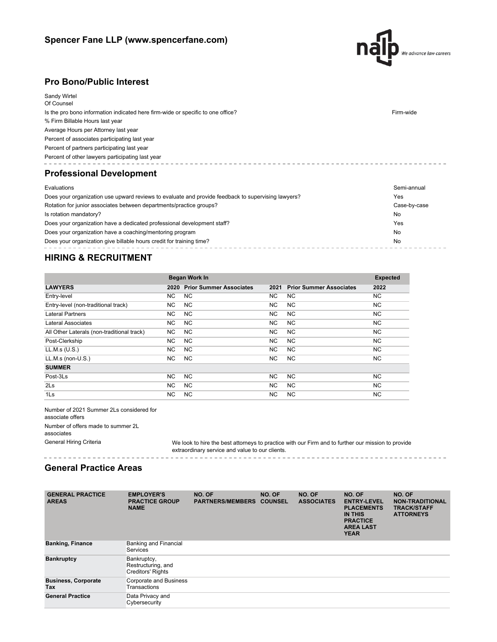

---------------------

# **Pro Bono/Public Interest**

| <b>Sandy Wirtel</b><br>Of Counsel                                                                         |             |  |
|-----------------------------------------------------------------------------------------------------------|-------------|--|
| Is the pro bono information indicated here firm-wide or specific to one office?                           | Firm-wide   |  |
| % Firm Billable Hours last year                                                                           |             |  |
| Average Hours per Attorney last year                                                                      |             |  |
| Percent of associates participating last year                                                             |             |  |
| Percent of partners participating last year                                                               |             |  |
| Percent of other lawyers participating last year                                                          |             |  |
| <b>Professional Development</b>                                                                           |             |  |
| Evaluations                                                                                               | Semi-annual |  |
| Does your organization use upward reviews to evaluate and provide feedback to supervising lawyers?<br>Yes |             |  |

| Rotation for junior associates between departments/practice groups?     | Case-by-case |
|-------------------------------------------------------------------------|--------------|
| Is rotation mandatory?                                                  | No           |
| Does your organization have a dedicated professional development staff? | Yes          |
| Does your organization have a coaching/mentoring program                | No           |
| Does your organization give billable hours credit for training time?    | No           |

### **HIRING & RECRUITMENT**

|                                            |           | <b>Began Work In</b>           |           |                                | <b>Expected</b> |
|--------------------------------------------|-----------|--------------------------------|-----------|--------------------------------|-----------------|
| <b>LAWYERS</b>                             | 2020      | <b>Prior Summer Associates</b> | 2021      | <b>Prior Summer Associates</b> | 2022            |
| Entry-level                                | NC.       | NC.                            | NC.       | NC.                            | NC.             |
| Entry-level (non-traditional track)        | NC.       | <b>NC</b>                      | <b>NC</b> | <b>NC</b>                      | NC.             |
| <b>Lateral Partners</b>                    | NC.       | NC.                            | NC.       | <b>NC</b>                      | NC.             |
| Lateral Associates                         | NC.       | <b>NC</b>                      | NC.       | NC.                            | <b>NC</b>       |
| All Other Laterals (non-traditional track) | NC.       | <b>NC</b>                      | <b>NC</b> | <b>NC</b>                      | NC.             |
| Post-Clerkship                             | NC.       | <b>NC</b>                      | NC.       | <b>NC</b>                      | NC.             |
| LL.M.s (U.S.)                              | NC.       | NC.                            | NC.       | NC.                            | NC.             |
| $LL.M.s$ (non- $U.S.$ )                    | NC.       | <b>NC</b>                      | NC.       | <b>NC</b>                      | NC.             |
| <b>SUMMER</b>                              |           |                                |           |                                |                 |
| Post-3Ls                                   | <b>NC</b> | <b>NC</b>                      | <b>NC</b> | <b>NC</b>                      | <b>NC</b>       |
| 2Ls                                        | NC.       | <b>NC</b>                      | NC.       | <b>NC</b>                      | NC.             |
| 1 <sub>ls</sub>                            | NC.       | NC.                            | NC.       | <b>NC</b>                      | <b>NC</b>       |

Number of 2021 Summer 2Ls considered for associate offers Number of offers made to summer 2L associates

General Hiring Criteria We look to hire the best attorneys to practice with our Firm and to further our mission to provide extraordinary service and value to our clients.

#### **General Practice Areas**

. . . . . . . . . . . . . . . . . .

| <b>GENERAL PRACTICE</b><br><b>AREAS</b> | <b>EMPLOYER'S</b><br><b>PRACTICE GROUP</b><br><b>NAME</b>     | NO. OF<br><b>PARTNERS/MEMBERS</b> | NO. OF<br><b>COUNSEL</b> | NO. OF<br><b>ASSOCIATES</b> | NO. OF<br><b>ENTRY-LEVEL</b><br><b>PLACEMENTS</b><br><b>IN THIS</b><br><b>PRACTICE</b><br><b>AREA LAST</b><br><b>YEAR</b> | NO. OF<br><b>NON-TRADITIONAL</b><br><b>TRACK/STAFF</b><br><b>ATTORNEYS</b> |
|-----------------------------------------|---------------------------------------------------------------|-----------------------------------|--------------------------|-----------------------------|---------------------------------------------------------------------------------------------------------------------------|----------------------------------------------------------------------------|
| <b>Banking, Finance</b>                 | <b>Banking and Financial</b><br>Services                      |                                   |                          |                             |                                                                                                                           |                                                                            |
| <b>Bankruptcy</b>                       | Bankruptcy,<br>Restructuring, and<br><b>Creditors' Rights</b> |                                   |                          |                             |                                                                                                                           |                                                                            |
| <b>Business, Corporate</b><br>Tax       | Corporate and Business<br>Transactions                        |                                   |                          |                             |                                                                                                                           |                                                                            |
| <b>General Practice</b>                 | Data Privacy and<br>Cybersecurity                             |                                   |                          |                             |                                                                                                                           |                                                                            |